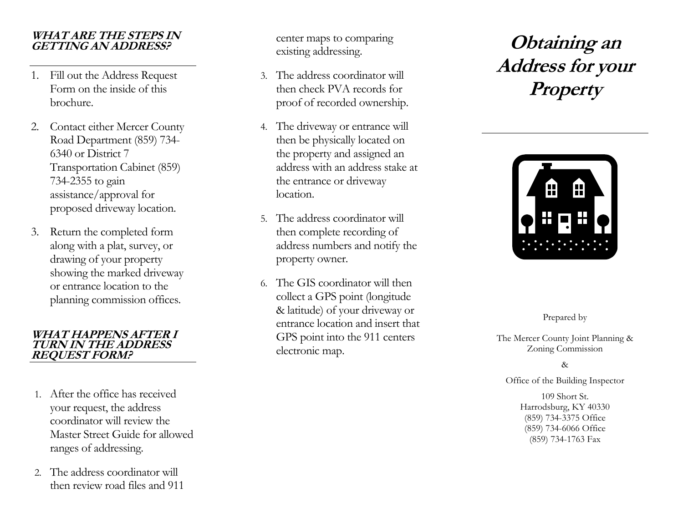### **WHAT ARE THE STEPS IN GETTING AN ADDRESS?**

- 1. Fill out the Address Request Form on the inside of this brochure.
- 2. Contact either Mercer County Road Department (859) 734- 6340 or District 7 Transportation Cabinet (859) 734-2355 to gain assistance/approval for proposed driveway location.
- 3. Return the completed form along with a plat, survey, or drawing of your property showing the marked driveway or entrance location to the planning commission offices.

### **WHAT HAPPENS AFTER I TURN IN THE ADDRESS REQUEST FORM?**

- 1. After the office has received your request, the address coordinator will review the Master Street Guide for allowed ranges of addressing.
- 2. The address coordinator will then review road files and 911

center maps to comparing existing addressing.

- 3. The address coordinator will then check PVA records for proof of recorded ownership.
- 4. The driveway or entrance will then be physically located on the property and assigned an address with an address stake at the entrance or driveway location.
- 5. The address coordinator will then complete recording of address numbers and notify the property owner.
- 6. The GIS coordinator will then collect a GPS point (longitude & latitude) of your driveway or entrance location and insert that GPS point into the 911 centers electronic map.

# **Obtaining an Address for your Property**



Prepared by

The Mercer County Joint Planning & Zoning Commission

#### &

Office of the Building Inspector

109 Short St. Harrodsburg, KY 40330 (859) 734-3375 Office (859) 734-6066 Office (859) 734-1763 Fax